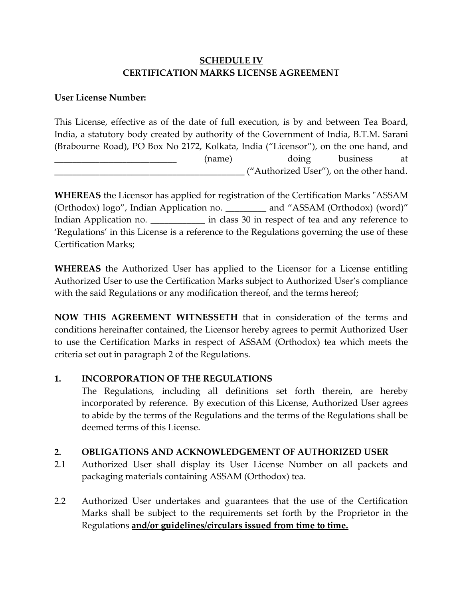# **SCHEDULE IV CERTIFICATION MARKS LICENSE AGREEMENT**

## **User License Number:**

This License, effective as of the date of full execution, is by and between Tea Board, India, a statutory body created by authority of the Government of India, B.T.M. Sarani (Brabourne Road), PO Box No 2172, Kolkata, India ("Licensor"), on the one hand, and \_\_\_\_\_\_\_\_\_\_\_\_\_\_\_\_\_\_\_\_\_\_\_\_\_\_\_ (name) doing business at \_\_\_\_\_\_\_\_\_\_\_\_\_\_\_\_\_\_\_\_\_\_\_\_\_\_\_\_\_\_\_\_\_\_\_\_\_\_\_\_\_\_ ("Authorized User"), on the other hand.

**WHEREAS** the Licensor has applied for registration of the Certification Marks "ASSAM (Orthodox) logo", Indian Application no. \_\_\_\_\_\_\_\_\_ and "ASSAM (Orthodox) (word)" Indian Application no. \_\_\_\_\_\_\_\_\_\_\_\_\_ in class 30 in respect of tea and any reference to 'Regulations' in this License is a reference to the Regulations governing the use of these Certification Marks;

**WHEREAS** the Authorized User has applied to the Licensor for a License entitling Authorized User to use the Certification Marks subject to Authorized User's compliance with the said Regulations or any modification thereof, and the terms hereof;

**NOW THIS AGREEMENT WITNESSETH** that in consideration of the terms and conditions hereinafter contained, the Licensor hereby agrees to permit Authorized User to use the Certification Marks in respect of ASSAM (Orthodox) tea which meets the criteria set out in paragraph 2 of the Regulations.

## **1. INCORPORATION OF THE REGULATIONS**

The Regulations, including all definitions set forth therein, are hereby incorporated by reference. By execution of this License, Authorized User agrees to abide by the terms of the Regulations and the terms of the Regulations shall be deemed terms of this License.

#### **2. OBLIGATIONS AND ACKNOWLEDGEMENT OF AUTHORIZED USER**

- 2.1 Authorized User shall display its User License Number on all packets and packaging materials containing ASSAM (Orthodox) tea.
- 2.2 Authorized User undertakes and guarantees that the use of the Certification Marks shall be subject to the requirements set forth by the Proprietor in the Regulations **and/or guidelines/circulars issued from time to time.**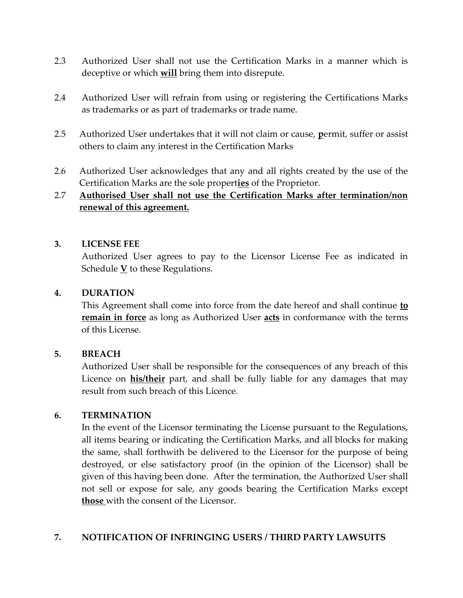- 2.3 Authorized User shall not use the Certification Marks in a manner which is deceptive or which **will** bring them into disrepute.
- 2.4 Authorized User will refrain from using or registering the Certifications Marks as trademarks or as part of trademarks or trade name.
- 2.5 Authorized User undertakes that it will not claim or cause, **p**ermit, suffer or assist others to claim any interest in the Certification Marks
- 2.6 Authorized User acknowledges that any and all rights created by the use of the Certification Marks are the sole propert**ies** of the Proprietor.

# 2.7 **Authorised User shall not use the Certification Marks after termination/non renewal of this agreement.**

## **3. LICENSE FEE**

Authorized User agrees to pay to the Licensor License Fee as indicated in Schedule  $\underline{V}$  to these Regulations.

#### **4. DURATION**

This Agreement shall come into force from the date hereof and shall continue **to remain in force** as long as Authorized User **acts** in conformance with the terms of this License.

#### **5. BREACH**

Authorized User shall be responsible for the consequences of any breach of this Licence on **his/their** part, and shall be fully liable for any damages that may result from such breach of this Licence.

#### **6. TERMINATION**

In the event of the Licensor terminating the License pursuant to the Regulations, all items bearing or indicating the Certification Marks, and all blocks for making the same, shall forthwith be delivered to the Licensor for the purpose of being destroyed, or else satisfactory proof (in the opinion of the Licensor) shall be given of this having been done. After the termination, the Authorized User shall not sell or expose for sale, any goods bearing the Certification Marks except **those** with the consent of the Licensor.

## **7. NOTIFICATION OF INFRINGING USERS / THIRD PARTY LAWSUITS**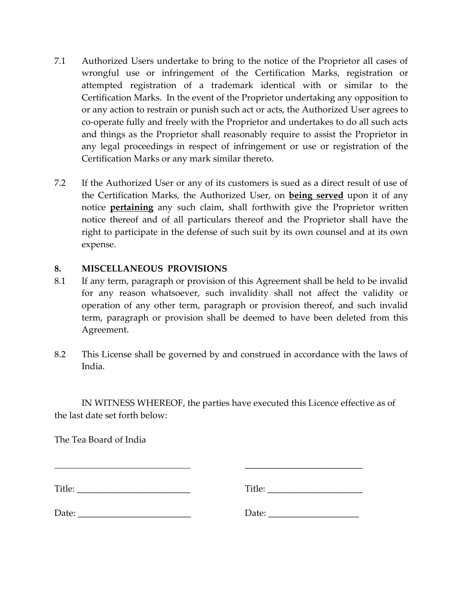- 7.1 Authorized Users undertake to bring to the notice of the Proprietor all cases of wrongful use or infringement of the Certification Marks, registration or attempted registration of a trademark identical with or similar to the Certification Marks. In the event of the Proprietor undertaking any opposition to or any action to restrain or punish such act or acts, the Authorized User agrees to co-operate fully and freely with the Proprietor and undertakes to do all such acts and things as the Proprietor shall reasonably require to assist the Proprietor in any legal proceedings in respect of infringement or use or registration of the Certification Marks or any mark similar thereto.
- 7.2 If the Authorized User or any of its customers is sued as a direct result of use of the Certification Marks, the Authorized User, on **being served** upon it of any notice **pertaining** any such claim, shall forthwith give the Proprietor written notice thereof and of all particulars thereof and the Proprietor shall have the right to participate in the defense of such suit by its own counsel and at its own expense.

## **8. MISCELLANEOUS PROVISIONS**

- 8.1 If any term, paragraph or provision of this Agreement shall be held to be invalid for any reason whatsoever, such invalidity shall not affect the validity or operation of any other term, paragraph or provision thereof, and such invalid term, paragraph or provision shall be deemed to have been deleted from this Agreement.
- 8.2 This License shall be governed by and construed in accordance with the laws of India.

IN WITNESS WHEREOF, the parties have executed this Licence effective as of the last date set forth below:

The Tea Board of India

| Title: | Title: |
|--------|--------|
| Date:  | Date:  |